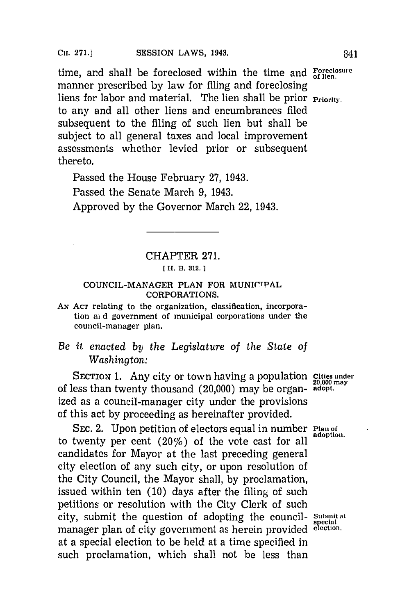time, and shall be foreclosed within the time and **Foreclosure** manner prescribed **by** law for filing and foreclosing liens for labor and material. The lien shall be prior **Priority**. to any and all other liens and encumbrances filed subsequent to the filing of such lien but shall be subject to all general taxes and local improvement assessments whether levied prior or subsequent thereto.

Passed the House February **27,** 1943. Passed the Senate March **9,** 1943. Approved **by** the Governor March 22, 1943.

## CHAPTER **271.**

[ H. B. 312.]

## COUNCIL-MANAGER PLAN FOR MUNICIPAL **CORPORATIONS.**

**AN ACT relating to the organization, classification, incorporation ai d government of municipal corporations under the council-manager plan.**

## *Be it enacted by the Legislature of the State of Washington:*

SECTION 1. Any city or town having a population **Cities under 20,000 may** of less than twenty thousand (20,000) may be organ- **adopt.** ized as a council-manager city under the provisions of this act **by** proceeding as hereinafter provided.

**SEC. 2.** Upon petition of electors equal in number **Plan of** adoption. to twenty per cent  $(20\%)$  of the vote cast for all candidates for Mayor at the last preceding general city election of any such city, or upon resolution of the City Council, the Mayor shall, **by** proclamation, issued within ten **(10)** days after the filing of such petitions or resolution with the City Clerk of such city, submit the question of adopting the council- Submit at manager plan of city government as herein provided **elction.** at a special election to be held at a time specified in such proclamation, which shall not be less than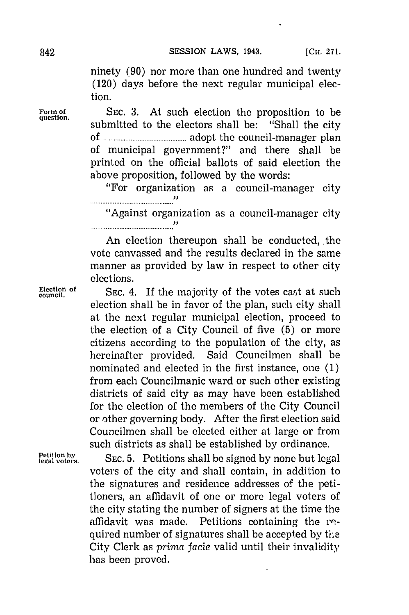ninety **(90)** nor more than one hundred and twenty (120) days before the next regular municipal election.

Form of SEC. 3. At such election the proposition to be overtion. submitted to the electors shall be: "Shall the city of **...............................** adopt the council-manager plan of municipal government?" and there shall be printed on the official ballots of said election the above proposition, followed **by** the words:

"For organization as a council-manager city 

"Against organization as a council-manager city 

An election thereupon shall be conducted, the vote canvassed and the results declared in the same manner as provided **by** law in respect to other city elections.

Election of SEC. 4. If the majority of the votes cast at such election shall be in favor of the plan, such city shall at the next regular municipal election, proceed to the election of a City Council of five **(5)** or more citizens according to the population of the city, as hereinafter provided. Said Councilmen shall be nominated and elected in the first instance, one **(1)** from each Councilmanic ward or such other existing districts of said city as may have been established for the election of the members of the City Council or other governing body. After the first election said Councilmen shall be elected either at large or from such districts as shall be established **by** ordinance.

**Petition by**<br>**Petition by**<br>**Petition by** SEC. 5. Petitions shall be signed by none but legal voters of the city and shall contain, in addition to the signatures and residence addresses **of** the petitioners, an affidavit of one or more legal voters of the city stating the number of signers at the time the affidavit was made. Petitions containing the required number of signatures shall be accepted by the City Clerk as *primna facie* valid until their invalidity has been proved.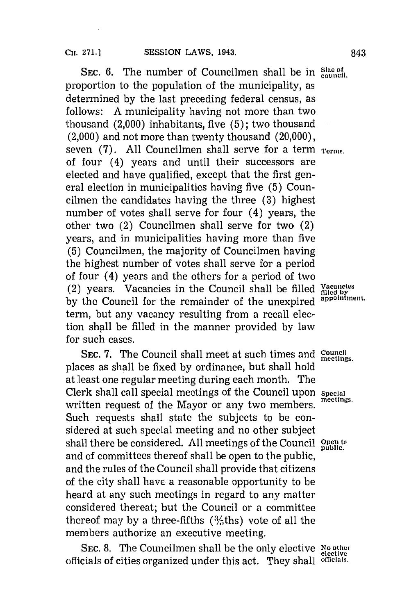SEC. 6. The number of Councilmen shall be in Size of council. proportion to the population of the municipality, as determined **by** the last preceding federal census, as follows: **A** municipality having not more than two thousand (2,000) inhabitants, five **(5);** two thousand (2,000) and not more than twenty thousand (20,000), seven (7). All Councilmen shall serve for a term  $T_{\text{terms}}$ . of four (4) years and until their successors are elected and have qualified, except that the first general election in municipalities having five **(5)** Councilmen the candidates having the three **(3)** highest number of votes shall serve for four (4) years, the other two (2) Councilmen shall serve for two (2) years, and in municipalities having more than five **(5)** Councilmen, the majority of Councilmen having the highest number of votes shall serve for a period of four (4) years and the others for a period of two (2) years. Vacancies in the Council shall be filled **ffie by** the Council for the remainder of the unexpired **appoinfment.** term, but any vacancy resulting from a recall election shall be filled in the manner provided **by** law for such cases.

**SEC. 7.** The Council shall meet at such times and **council meetings.** places as shall be fixed **by** ordinance, but shall hold at least one regular meeting during each month. The Clerk shall call special meetings of the Council upon **Special** written request of the Mayor or any two members. Such requests shall state the subjects to be considered at such special meeting and no other subject shall there be considered. All meetings of the Council **Open to** shall there be considered. and of committees thereof shall be open to the public, and the rules of the Council shall provide that citizens of the city shall have a reasonable opportunity to be heard at any such meetings in regard to any matter considered thereat; but the Council or a committee thereof may by a three-fifths  $(3/5$ ths) vote of all the members authorize an executive meeting.

**SEC. 8.** The Councilmen shall be the only elective **No otlher** officials of cities organized under this act. They shall **offcials.**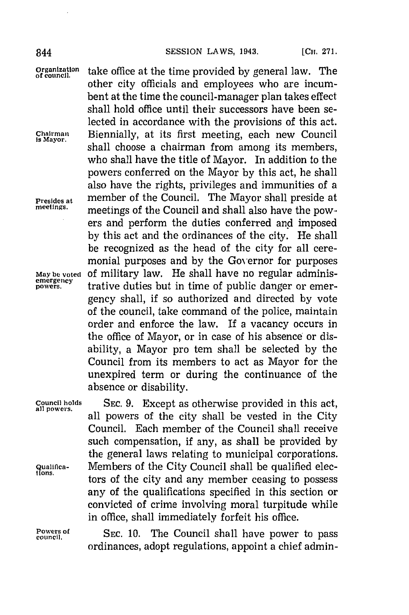other city officials and employees who are incumbent at the time the council-manager plan takes effect shall hold office until their successors have been selected in accordance with the provisions of this act.

shall choose a chairman from among its members, who shall have the title of Mayor. In addition to the powers conferred on the Mayor **by** this act, he shall also have the rights, privileges and immunities of a

meetings of the Council and shall also have the powers and perform the duties conferred and imposed **by** this act and the ordinances of the city. He shall be recognized as the head of the city for all ceremonial purposes and **by** the Governor for purposes

**powers.** trative duties but in time of public danger or emergency shall, if so authorized and directed **by** vote of the council, take command of the police, maintain order and enforce the law. If a vacancy occurs in the office of Mayor, or in case of his absence or disability, a Mayor pro tern shall be selected **by** the Council from its members to act as Mayor for the unexpired term or during the continuance of the

**organization** take office at the time provided **by** general law. The **of council.**

Chairman Biennially, at its first meeting, each new Council

**Presides at** member of the Council. The Mayor shall preside at

**May be vot ed Of** Military law. He shall have no regular adminis**emergency**

absence or disability.

**Council holds SEC. 9.** Except as otherwise provided in this act, all powers of the city shall be vested in the City Council. Each member of the Council shall receive such compensation, if any, as shall be provided **by** the general laws relating to municipal corporations. **Qualifica- Members of the City Council shall be qualified elec**tors of the city and any member ceasing to possess any of the qualifications specified in this section or convicted of crime involving moral turpitude while in office, shall immediately forfeit his office.

Powers of **SE.** SEC. 10. The Council shall have power to pass ordinances, adopt regulations, appoint a chief admin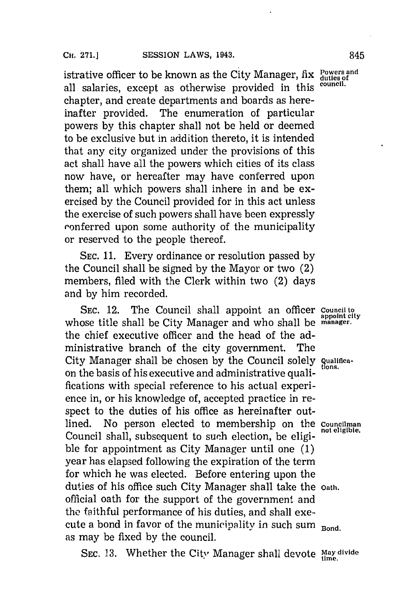istrative officer to be known as the City Manager, fix Powers and all salaries, except as otherwise provided in this **council.** chapter, and create departments and boards as hereinafter provided. The enumeration of particular powers **by** this chapter shall not be held or deemed to be exclusive but in addition thereto, it is intended that any city organized under the provisions of this act shall have all the powers which cities of its class now have, or hereafter may have conferred upon them; all which powers shall inhere in and be exercised **by** the Council provided for in this act unless the exercise of such powers shall have been expressly ronferred upon some authority of the municipality or reserved to the people thereof.

**SEC. 11.** Every ordinance or resolution passed **by** the Council shall be signed **by** the Mayor or two (2) members, filed with the Clerk within two (2) days and **by** him recorded.

**SEC.** 12. The Council shall appoint an officer **Council to** whose title shall be City Manager and who shall be **manager**. the chief executive officer and the head of the administrative branch of the city government. The City Manager shall be chosen **by** the Council solely **quaitfica**on the basis of his executive and administrative qualifications with special reference to his actual experience in, or his knowledge of, accepted practice in respect to the duties of his office as hereinafter outlined. No person elected to membership on the **Councilman** Council shall, subsequent to such election, be eligible for appointment as City Manager until one **(1)** year has elapsed following the expiration of the term for which he was elected. Before entering upon the duties of his office such City Manager shall take the **Oath.** official oath for the support of the government and the faithful performance of his duties, and shall execute a bond in favor of the municipality in such sum **Bond**. as may be fixed **by** the council.

**SEC. 13.** Whether the City Manager shall devote May divide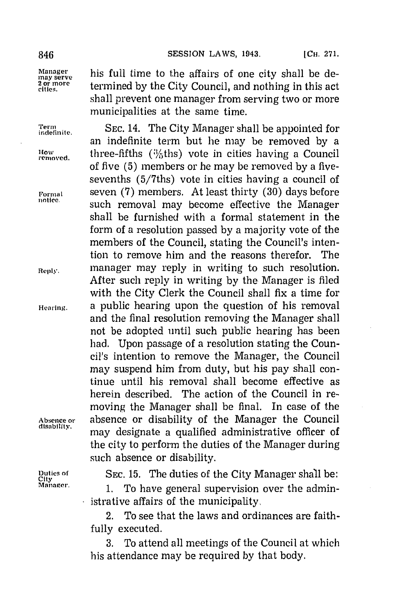**removed.**

Manager his full time to the affairs of one city shall be de-<br> **200 more** termined by the City Council, and nothing in this act<br>
cities. termined by the City Council, and nothing in this act shall prevent one manager from serving two or more municipalities at the same time.

**Term SEC.** 14. The City Manager shall be appointed for **indefinite.** an indefinite term but he may be removed **by** a How **three-fifths (%ths)** vote in cities having a Council of five **(5)** members or he may be removed **by** a fivesevenths (5/7ths) vote in cities having a council of **Formal** seven **(7)** members. At least thirty **(30)** days before **lntice,** such removal may become effective the Manager shall be furnished with a formal statement in the form of a resolution passed **by** a majority vote of the members of the Council, stating the Council's intention to remove him and the reasons therefor. The **Reply.** manager may reply in writing to such resolution. After such reply in writing **by** the Manager is filed with the City Clerk the Council shall fix a time for **Hearing,** a public hearing upon the question of his removal and the final resolution removing the Manager shall not be adopted until such public hearing has been had. Upon passage of a resolution stating the Council's intention to remove the Manager, the Council may suspend him from duty, but his pay shall continue until his removal shall become effective as herein described. The action of the Council in removing the Manager shall be final. In case of the **Absence or** absence or disability of the Manager the Council may designate a qualified administrative officer of the city to perform the duties of the Manager during such absence or disability.

**Duties of** SEC. 15. The duties of the City Manager shall be:<br>City<br>Manager. **1.** The bests canonal aunomatician even the admin

**Manager. 1.** To have general supervision over the administrative affairs of the municipality,

2. To see that the laws and ordinances are faithfully executed.

**3.** To attend all meetings of the Council at which his attendance may be required **by** that body.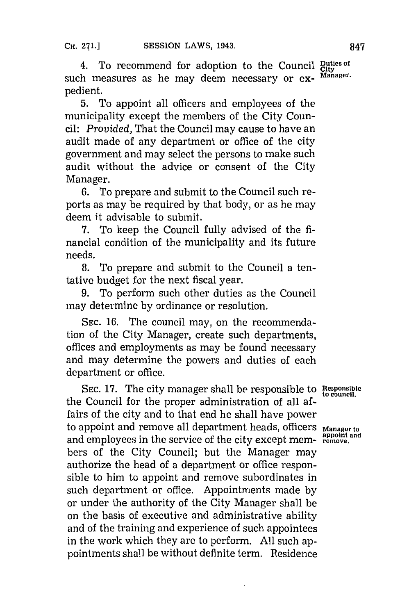4. To recommend for adoption to the Council *City*<br>th measures as he may deem necessary or ex- Manager. such measures as he may deem necessary or expedient.

**5.** To appoint all officers and employees of the municipality except the members of the City Council: *Provided,* That the Council may cause to have an audit made of any department or office of the city government and may select the persons to make such audit without the advice or consent of the City Manager.

**6.** To prepare and submit to the Council such reports as may be required **by** that body, or as he may deem it advisable to submit.

**7.** To keep the Council fully advised of the **fi**nancial condition of the municipality and its future needs.

**8.** To prepare and submit to the Council a tentative budget for the next fiscal year.

**9.** To perform such other duties as the Council may determine **by** ordinance or resolution.

**SEC. 16.** The council may, on the recommendation of the City Manager, create such departments, offices and employments as may be found necessary and may determine the powers and duties of each department or office.

**SEC. 17.** The city manager shall **be** responsible to **Responsible to council.** the Council for the proper administration of all affairs of the city and to that end he shall have power to appoint and remove all department heads, officers **Manage, to** and employees in the service of the city except mem- **remove.** bers of the City Council; but the Manager may authorize the head of a department or office responsible to him to appoint and remove subordinates in such department or office. Appointments made **by** or under the authority of the City Manager shall be on the basis of executive and administrative ability and of the training and experience of such appointees in the work which they are to perform. **All** such appointments shall be without definite term. Residence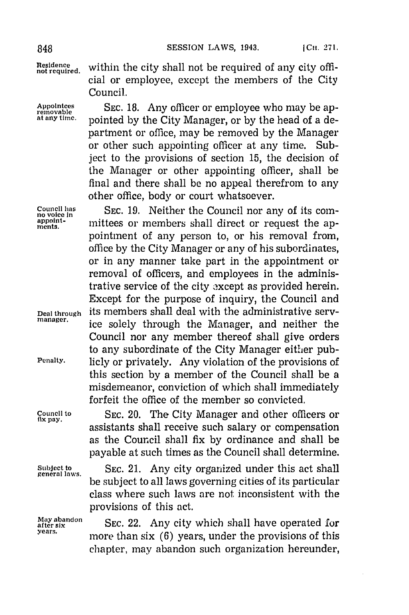Residence within the city shall not be required of any city official or employee, except the members of the City Council.

Appointees SEC. 18. Any officer or employee who may be ap-<br>removable pointed by the City Manager, or by the head of a de**at any time,** pointed **by** the City Manager, or **by** the head of a department or office, may be removed **by** the Manager or other such appointing officer at any time. Subject to the provisions of section **15,** the decision of the Manager or other appointing officer, shall be final and there shall be no appeal therefrom to any other office, body or court whatsoever.

**Council has SEC. 19.** Neither the Council nor any of its com-<br>no voice in **property** in the section of *non-poppoint* **appoint-** mittees or members shall direct or request the appointment of any person to, or his removal from, office **by** the City Manager or any of his subordinates, or in any manner take part in the appointment or removal of officers, and employees in the administrative service of the city oxcept as provided herein. Except for the purpose of inquiry, the Council and **Deal through** its members shall deal with the administrative serv- manaer. ice solely through the Manager, and neither the Council nor any member thereof shall give orders to any subordinate of the City Manager either pub-**Penalty.** licly or privately. Any violation of the provisions of this section **by** a member of the Council shall be a misdemeanor, conviction of which shall immediately forfeit the office of the member so convicted.

**Council to** SEC. 20. The City Manager and other officers or **flx ay.** assistants shall receive such salary or compensation as the Council shall fix **by** ordinance and shall be payable at such times as the Council shall determine.

Subject to SEC. 21. Any city organized under this act shall be subject to all laws governing cities of its particular class where such laws are not inconsistent with the provisions of this act.

May abandon<br> **atter six**<br> **atter shall have operated for**<br> **atter is a set of the state of the state of the state of the state of the state of the state of the state of the state of the state of the state of the state of t** more than six (6) years, under the provisions of this chapter, may abandon such organization hereunder,

**May abandon**<br>after six